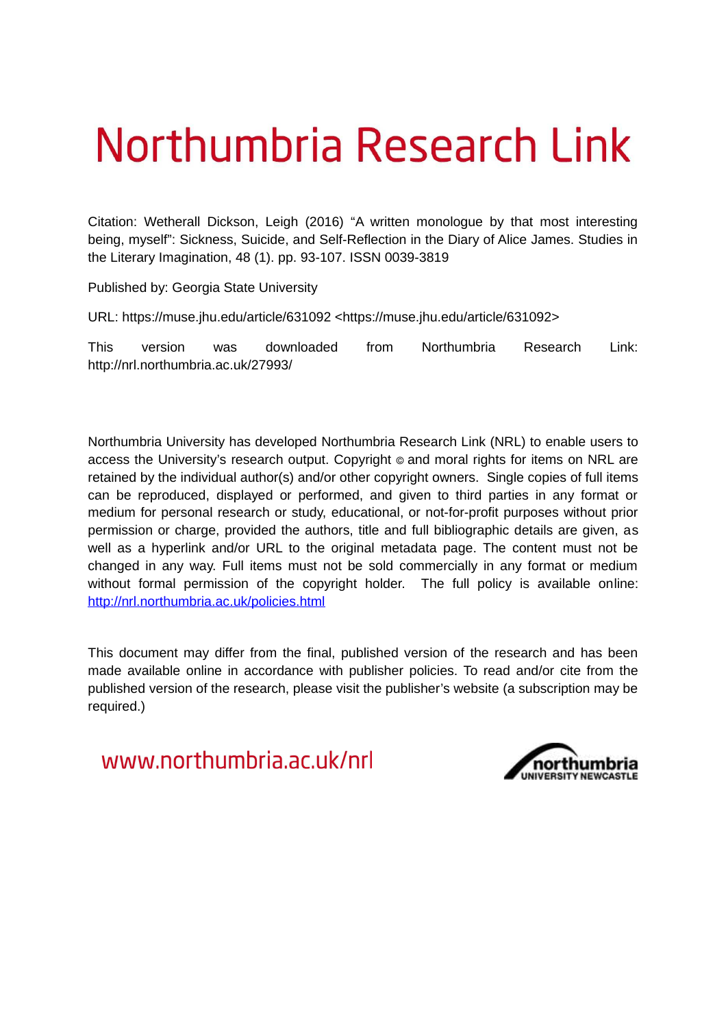# Northumbria Research Link

Citation: Wetherall Dickson, Leigh (2016) "A written monologue by that most interesting being, myself": Sickness, Suicide, and Self-Reflection in the Diary of Alice James. Studies in the Literary Imagination, 48 (1). pp. 93-107. ISSN 0039-3819

Published by: Georgia State University

URL: https://muse.jhu.edu/article/631092 <https://muse.jhu.edu/article/631092>

This version was downloaded from Northumbria Research Link: http://nrl.northumbria.ac.uk/27993/

Northumbria University has developed Northumbria Research Link (NRL) to enable users to access the University's research output. Copyright  $\circ$  and moral rights for items on NRL are retained by the individual author(s) and/or other copyright owners. Single copies of full items can be reproduced, displayed or performed, and given to third parties in any format or medium for personal research or study, educational, or not-for-profit purposes without prior permission or charge, provided the authors, title and full bibliographic details are given, as well as a hyperlink and/or URL to the original metadata page. The content must not be changed in any way. Full items must not be sold commercially in any format or medium without formal permission of the copyright holder. The full policy is available online: <http://nrl.northumbria.ac.uk/policies.html>

This document may differ from the final, published version of the research and has been made available online in accordance with publisher policies. To read and/or cite from the published version of the research, please visit the publisher's website (a subscription may be required.)

www.northumbria.ac.uk/nrl

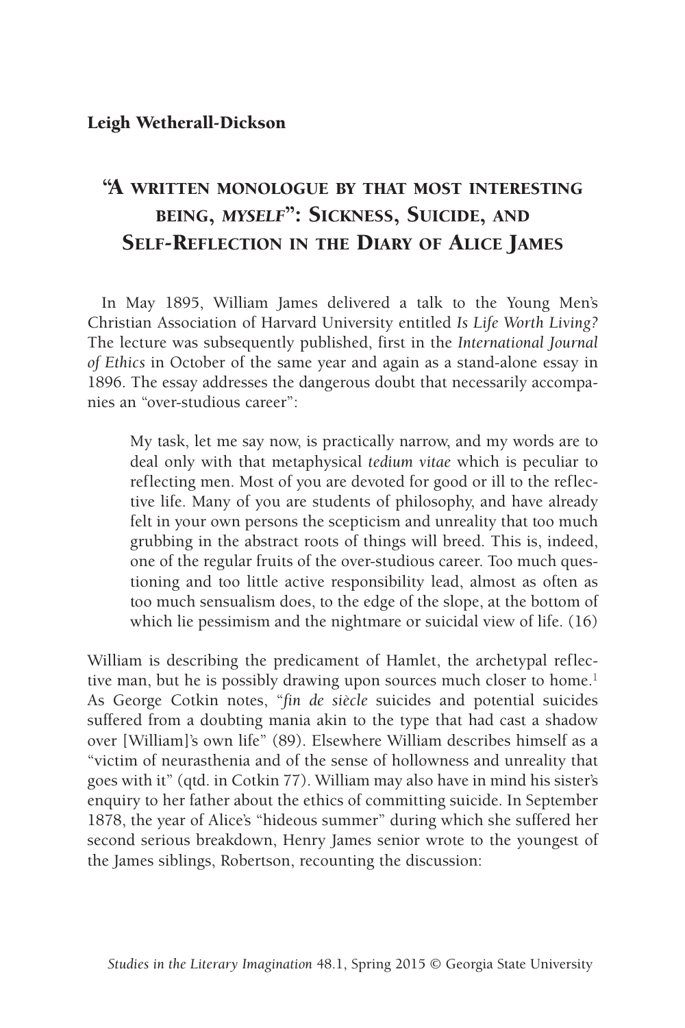## "A WRITTEN MONOLOGUE BY THAT MOST INTERESTING BEING, *MYSELF*": SICKNESS, SUICIDE, AND SELF-REFLECTION IN THE DIARY OF ALICE JAMES

In May 1895, William James delivered a talk to the Young Men's Christian Association of Harvard University entitled *Is Life Worth Living?* The lecture was subsequently published, first in the *International Journal of Ethics* in October of the same year and again as a stand-alone essay in 1896. The essay addresses the dangerous doubt that necessarily accompanies an "over-studious career":

My task, let me say now, is practically narrow, and my words are to deal only with that metaphysical *tedium vitae* which is peculiar to reflecting men. Most of you are devoted for good or ill to the reflective life. Many of you are students of philosophy, and have already felt in your own persons the scepticism and unreality that too much grubbing in the abstract roots of things will breed. This is, indeed, one of the regular fruits of the over-studious career. Too much questioning and too little active responsibility lead, almost as often as too much sensualism does, to the edge of the slope, at the bottom of which lie pessimism and the nightmare or suicidal view of life. (16)

William is describing the predicament of Hamlet, the archetypal reflective man, but he is possibly drawing upon sources much closer to home.<sup>1</sup> As George Cotkin notes, "*fin de siècle* suicides and potential suicides suffered from a doubting mania akin to the type that had cast a shadow over [William]'s own life" (89). Elsewhere William describes himself as a "victim of neurasthenia and of the sense of hollowness and unreality that goes with it" (qtd. in Cotkin 77). William may also have in mind his sister's enquiry to her father about the ethics of committing suicide. In September 1878, the year of Alice's "hideous summer" during which she suffered her second serious breakdown, Henry James senior wrote to the youngest of the James siblings, Robertson, recounting the discussion: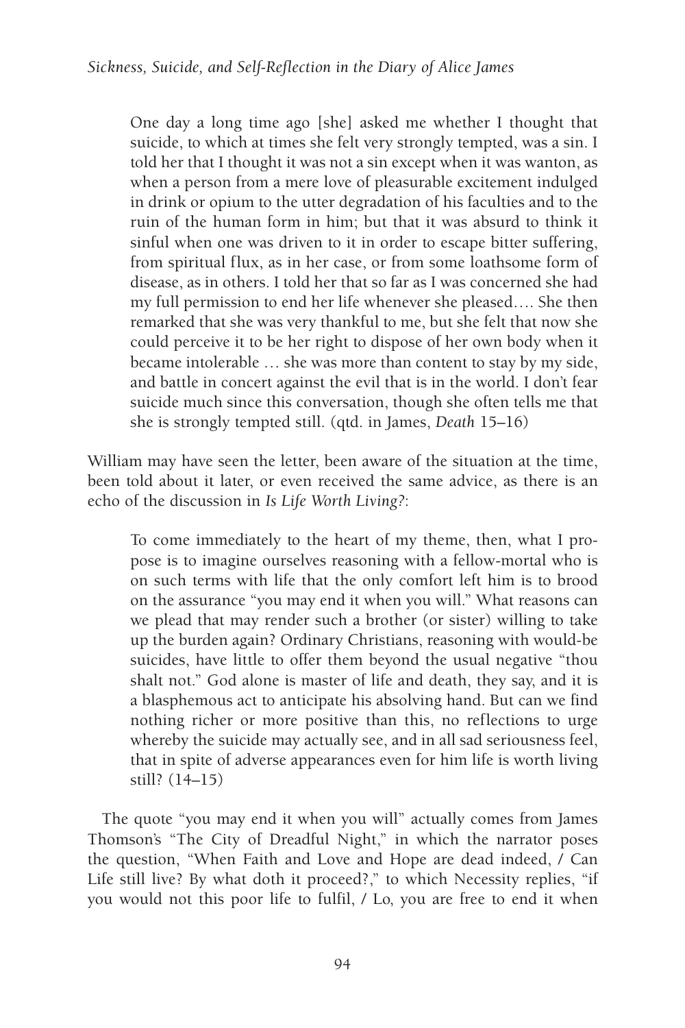One day a long time ago [she] asked me whether I thought that suicide, to which at times she felt very strongly tempted, was a sin. I told her that I thought it was not a sin except when it was wanton, as when a person from a mere love of pleasurable excitement indulged in drink or opium to the utter degradation of his faculties and to the ruin of the human form in him; but that it was absurd to think it sinful when one was driven to it in order to escape bitter suffering, from spiritual flux, as in her case, or from some loathsome form of disease, as in others. I told her that so far as I was concerned she had my full permission to end her life whenever she pleased…. She then remarked that she was very thankful to me, but she felt that now she could perceive it to be her right to dispose of her own body when it became intolerable … she was more than content to stay by my side, and battle in concert against the evil that is in the world. I don't fear suicide much since this conversation, though she often tells me that she is strongly tempted still. (qtd. in James, *Death* 15–16)

William may have seen the letter, been aware of the situation at the time, been told about it later, or even received the same advice, as there is an echo of the discussion in *Is Life Worth Living?*:

To come immediately to the heart of my theme, then, what I propose is to imagine ourselves reasoning with a fellow-mortal who is on such terms with life that the only comfort left him is to brood on the assurance "you may end it when you will." What reasons can we plead that may render such a brother (or sister) willing to take up the burden again? Ordinary Christians, reasoning with would-be suicides, have little to offer them beyond the usual negative "thou shalt not." God alone is master of life and death, they say, and it is a blasphemous act to anticipate his absolving hand. But can we find nothing richer or more positive than this, no reflections to urge whereby the suicide may actually see, and in all sad seriousness feel, that in spite of adverse appearances even for him life is worth living still? (14–15)

The quote "you may end it when you will" actually comes from James Thomson's "The City of Dreadful Night," in which the narrator poses the question, "When Faith and Love and Hope are dead indeed, / Can Life still live? By what doth it proceed?," to which Necessity replies, "if you would not this poor life to fulfil, / Lo, you are free to end it when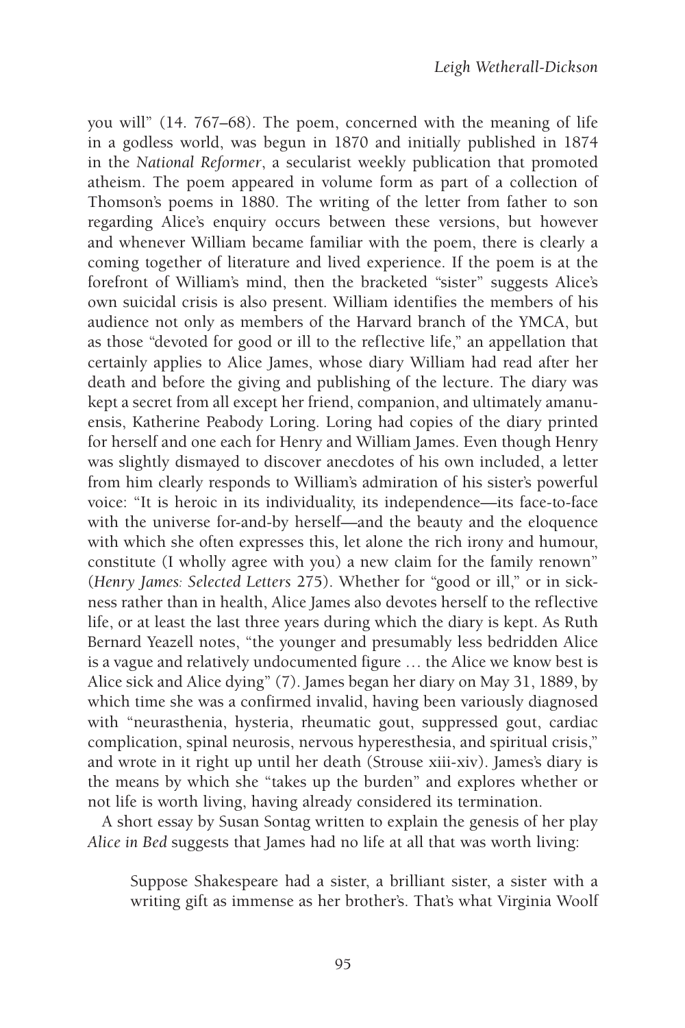you will" (14. 767–68). The poem, concerned with the meaning of life in a godless world, was begun in 1870 and initially published in 1874 in the *National Reformer*, a secularist weekly publication that promoted atheism. The poem appeared in volume form as part of a collection of Thomson's poems in 1880. The writing of the letter from father to son regarding Alice's enquiry occurs between these versions, but however and whenever William became familiar with the poem, there is clearly a coming together of literature and lived experience. If the poem is at the forefront of William's mind, then the bracketed "sister" suggests Alice's own suicidal crisis is also present. William identifies the members of his audience not only as members of the Harvard branch of the YMCA, but as those "devoted for good or ill to the reflective life," an appellation that certainly applies to Alice James, whose diary William had read after her death and before the giving and publishing of the lecture. The diary was kept a secret from all except her friend, companion, and ultimately amanuensis, Katherine Peabody Loring. Loring had copies of the diary printed for herself and one each for Henry and William James. Even though Henry was slightly dismayed to discover anecdotes of his own included, a letter from him clearly responds to William's admiration of his sister's powerful voice: "It is heroic in its individuality, its independence—its face-to-face with the universe for-and-by herself—and the beauty and the eloquence with which she often expresses this, let alone the rich irony and humour, constitute (I wholly agree with you) a new claim for the family renown" (*Henry James: Selected Letters* 275). Whether for "good or ill," or in sickness rather than in health, Alice James also devotes herself to the reflective life, or at least the last three years during which the diary is kept. As Ruth Bernard Yeazell notes, "the younger and presumably less bedridden Alice is a vague and relatively undocumented figure … the Alice we know best is Alice sick and Alice dying" (7). James began her diary on May 31, 1889, by which time she was a confirmed invalid, having been variously diagnosed with "neurasthenia, hysteria, rheumatic gout, suppressed gout, cardiac complication, spinal neurosis, nervous hyperesthesia, and spiritual crisis," and wrote in it right up until her death (Strouse xiii-xiv). James's diary is the means by which she "takes up the burden" and explores whether or not life is worth living, having already considered its termination.

A short essay by Susan Sontag written to explain the genesis of her play *Alice in Bed* suggests that James had no life at all that was worth living:

Suppose Shakespeare had a sister, a brilliant sister, a sister with a writing gift as immense as her brother's. That's what Virginia Woolf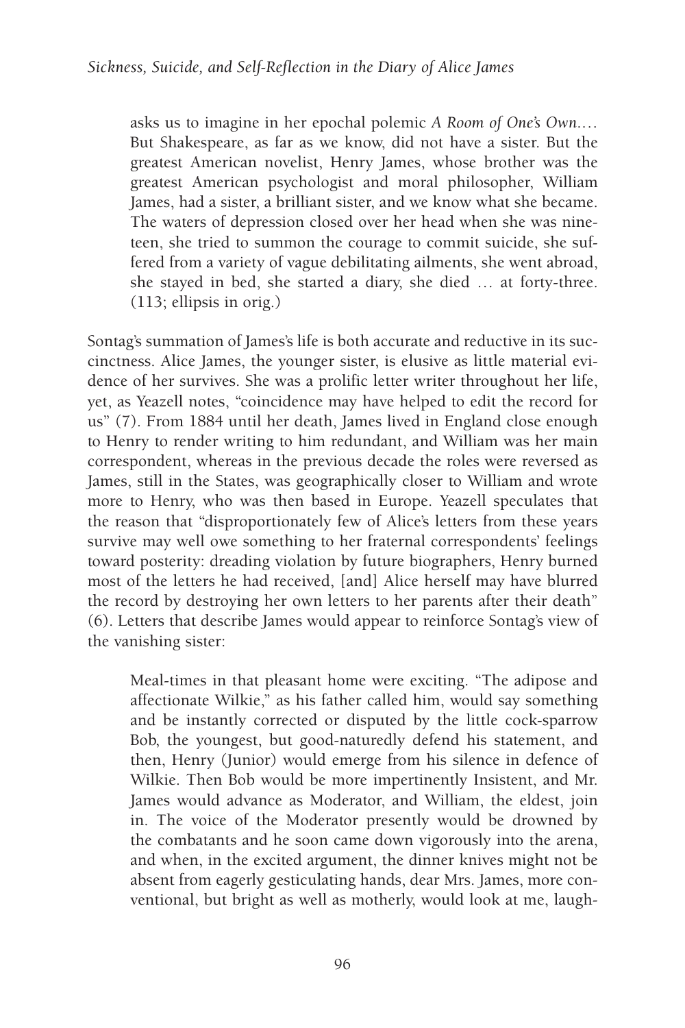asks us to imagine in her epochal polemic *A Room of One's Own*.… But Shakespeare, as far as we know, did not have a sister. But the greatest American novelist, Henry James, whose brother was the greatest American psychologist and moral philosopher, William James, had a sister, a brilliant sister, and we know what she became. The waters of depression closed over her head when she was nineteen, she tried to summon the courage to commit suicide, she suffered from a variety of vague debilitating ailments, she went abroad, she stayed in bed, she started a diary, she died … at forty-three. (113; ellipsis in orig.)

Sontag's summation of James's life is both accurate and reductive in its succinctness. Alice James, the younger sister, is elusive as little material evidence of her survives. She was a prolific letter writer throughout her life, yet, as Yeazell notes, "coincidence may have helped to edit the record for us" (7). From 1884 until her death, James lived in England close enough to Henry to render writing to him redundant, and William was her main correspondent, whereas in the previous decade the roles were reversed as James, still in the States, was geographically closer to William and wrote more to Henry, who was then based in Europe. Yeazell speculates that the reason that "disproportionately few of Alice's letters from these years survive may well owe something to her fraternal correspondents' feelings toward posterity: dreading violation by future biographers, Henry burned most of the letters he had received, [and] Alice herself may have blurred the record by destroying her own letters to her parents after their death" (6). Letters that describe James would appear to reinforce Sontag's view of the vanishing sister:

Meal-times in that pleasant home were exciting. "The adipose and affectionate Wilkie," as his father called him, would say something and be instantly corrected or disputed by the little cock-sparrow Bob, the youngest, but good-naturedly defend his statement, and then, Henry (Junior) would emerge from his silence in defence of Wilkie. Then Bob would be more impertinently Insistent, and Mr. James would advance as Moderator, and William, the eldest, join in. The voice of the Moderator presently would be drowned by the combatants and he soon came down vigorously into the arena, and when, in the excited argument, the dinner knives might not be absent from eagerly gesticulating hands, dear Mrs. James, more conventional, but bright as well as motherly, would look at me, laugh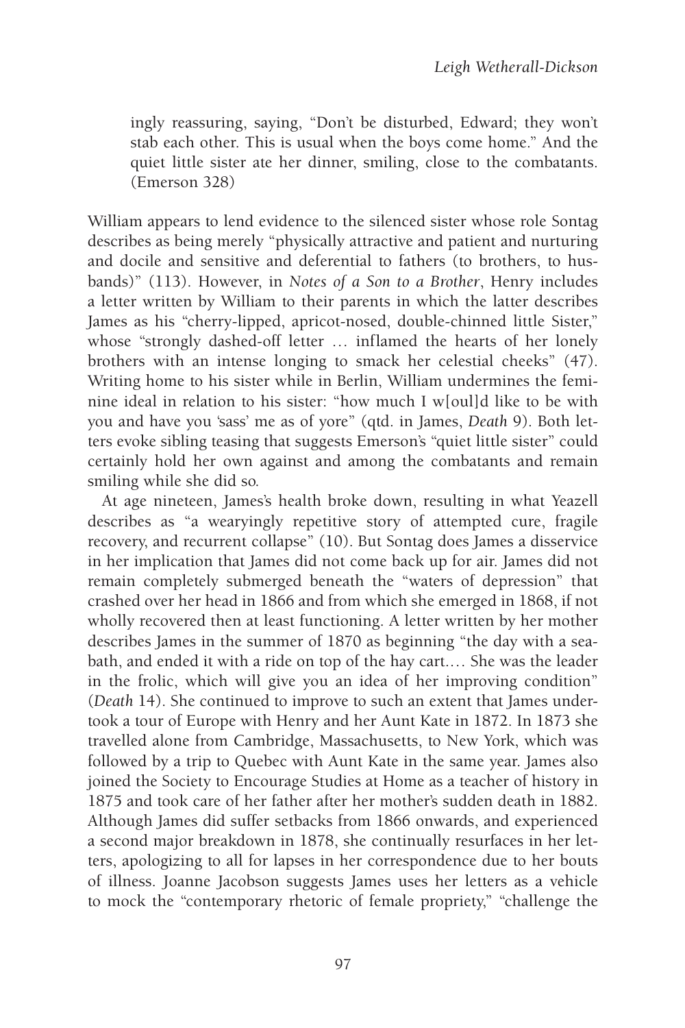ingly reassuring, saying, "Don't be disturbed, Edward; they won't stab each other. This is usual when the boys come home." And the quiet little sister ate her dinner, smiling, close to the combatants. (Emerson 328)

William appears to lend evidence to the silenced sister whose role Sontag describes as being merely "physically attractive and patient and nurturing and docile and sensitive and deferential to fathers (to brothers, to husbands)" (113). However, in *Notes of a Son to a Brother*, Henry includes a letter written by William to their parents in which the latter describes James as his "cherry-lipped, apricot-nosed, double-chinned little Sister," whose "strongly dashed-off letter … inflamed the hearts of her lonely brothers with an intense longing to smack her celestial cheeks" (47). Writing home to his sister while in Berlin, William undermines the feminine ideal in relation to his sister: "how much I w[oul]d like to be with you and have you 'sass' me as of yore" (qtd. in James, *Death* 9). Both letters evoke sibling teasing that suggests Emerson's "quiet little sister" could certainly hold her own against and among the combatants and remain smiling while she did so.

At age nineteen, James's health broke down, resulting in what Yeazell describes as "a wearyingly repetitive story of attempted cure, fragile recovery, and recurrent collapse" (10). But Sontag does James a disservice in her implication that James did not come back up for air. James did not remain completely submerged beneath the "waters of depression" that crashed over her head in 1866 and from which she emerged in 1868, if not wholly recovered then at least functioning. A letter written by her mother describes James in the summer of 1870 as beginning "the day with a seabath, and ended it with a ride on top of the hay cart.… She was the leader in the frolic, which will give you an idea of her improving condition" (*Death* 14). She continued to improve to such an extent that James undertook a tour of Europe with Henry and her Aunt Kate in 1872. In 1873 she travelled alone from Cambridge, Massachusetts, to New York, which was followed by a trip to Quebec with Aunt Kate in the same year. James also joined the Society to Encourage Studies at Home as a teacher of history in 1875 and took care of her father after her mother's sudden death in 1882. Although James did suffer setbacks from 1866 onwards, and experienced a second major breakdown in 1878, she continually resurfaces in her letters, apologizing to all for lapses in her correspondence due to her bouts of illness. Joanne Jacobson suggests James uses her letters as a vehicle to mock the "contemporary rhetoric of female propriety," "challenge the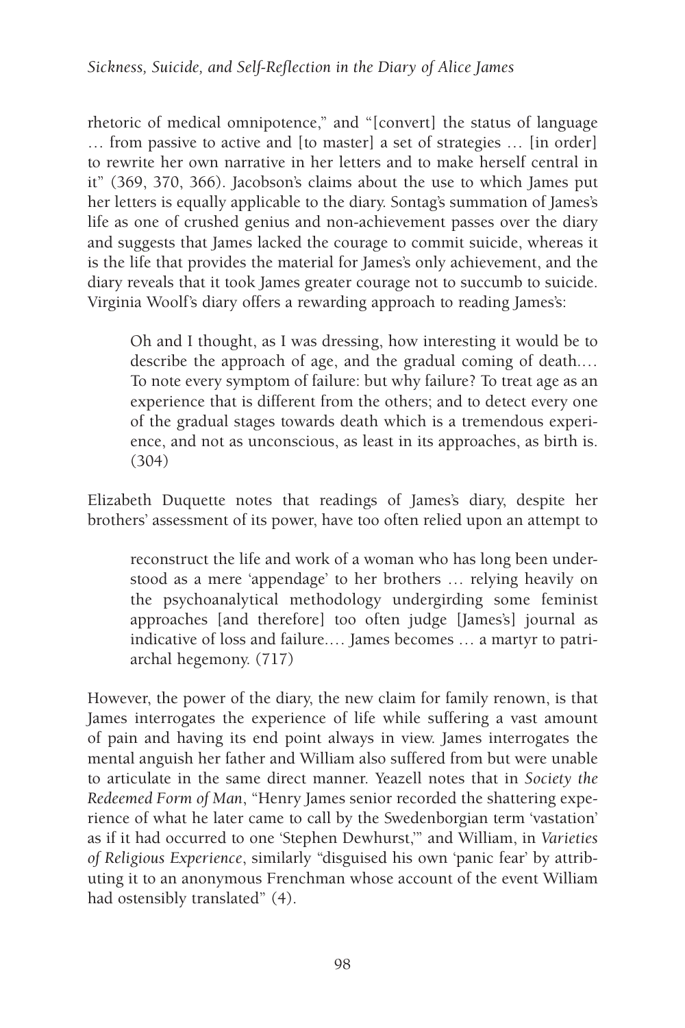rhetoric of medical omnipotence," and "[convert] the status of language … from passive to active and [to master] a set of strategies … [in order] to rewrite her own narrative in her letters and to make herself central in it" (369, 370, 366). Jacobson's claims about the use to which James put her letters is equally applicable to the diary. Sontag's summation of James's life as one of crushed genius and non-achievement passes over the diary and suggests that James lacked the courage to commit suicide, whereas it is the life that provides the material for James's only achievement, and the diary reveals that it took James greater courage not to succumb to suicide. Virginia Woolf's diary offers a rewarding approach to reading James's:

Oh and I thought, as I was dressing, how interesting it would be to describe the approach of age, and the gradual coming of death.… To note every symptom of failure: but why failure? To treat age as an experience that is different from the others; and to detect every one of the gradual stages towards death which is a tremendous experience, and not as unconscious, as least in its approaches, as birth is. (304)

Elizabeth Duquette notes that readings of James's diary, despite her brothers' assessment of its power, have too often relied upon an attempt to

reconstruct the life and work of a woman who has long been understood as a mere 'appendage' to her brothers … relying heavily on the psychoanalytical methodology undergirding some feminist approaches [and therefore] too often judge [James's] journal as indicative of loss and failure.… James becomes … a martyr to patriarchal hegemony. (717)

However, the power of the diary, the new claim for family renown, is that James interrogates the experience of life while suffering a vast amount of pain and having its end point always in view. James interrogates the mental anguish her father and William also suffered from but were unable to articulate in the same direct manner. Yeazell notes that in *Society the Redeemed Form of Man*, "Henry James senior recorded the shattering experience of what he later came to call by the Swedenborgian term 'vastation' as if it had occurred to one 'Stephen Dewhurst,'" and William, in *Varieties of Religious Experience*, similarly "disguised his own 'panic fear' by attributing it to an anonymous Frenchman whose account of the event William had ostensibly translated" (4).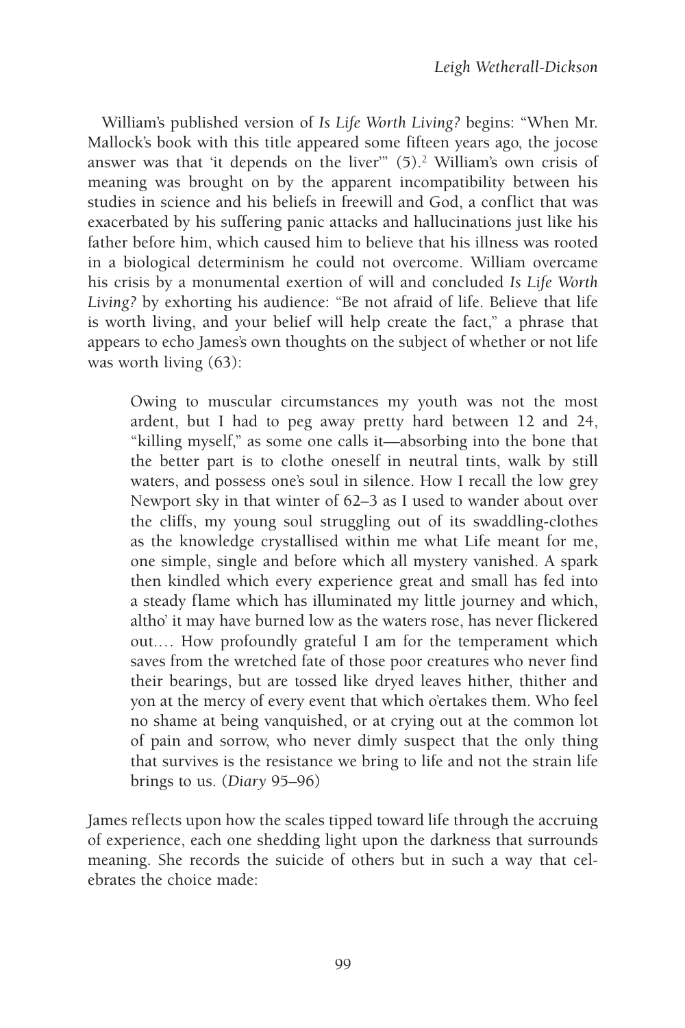William's published version of *Is Life Worth Living?* begins: "When Mr. Mallock's book with this title appeared some fifteen years ago, the jocose answer was that 'it depends on the liver'" (5).<sup>2</sup> William's own crisis of meaning was brought on by the apparent incompatibility between his studies in science and his beliefs in freewill and God, a conflict that was exacerbated by his suffering panic attacks and hallucinations just like his father before him, which caused him to believe that his illness was rooted in a biological determinism he could not overcome. William overcame his crisis by a monumental exertion of will and concluded *Is Life Worth Living?* by exhorting his audience: "Be not afraid of life. Believe that life is worth living, and your belief will help create the fact," a phrase that appears to echo James's own thoughts on the subject of whether or not life was worth living (63):

Owing to muscular circumstances my youth was not the most ardent, but I had to peg away pretty hard between 12 and 24, "killing myself," as some one calls it—absorbing into the bone that the better part is to clothe oneself in neutral tints, walk by still waters, and possess one's soul in silence. How I recall the low grey Newport sky in that winter of 62–3 as I used to wander about over the cliffs, my young soul struggling out of its swaddling-clothes as the knowledge crystallised within me what Life meant for me, one simple, single and before which all mystery vanished. A spark then kindled which every experience great and small has fed into a steady flame which has illuminated my little journey and which, altho' it may have burned low as the waters rose, has never flickered out.… How profoundly grateful I am for the temperament which saves from the wretched fate of those poor creatures who never find their bearings, but are tossed like dryed leaves hither, thither and yon at the mercy of every event that which o'ertakes them. Who feel no shame at being vanquished, or at crying out at the common lot of pain and sorrow, who never dimly suspect that the only thing that survives is the resistance we bring to life and not the strain life brings to us. (*Diary* 95–96)

James reflects upon how the scales tipped toward life through the accruing of experience, each one shedding light upon the darkness that surrounds meaning. She records the suicide of others but in such a way that celebrates the choice made: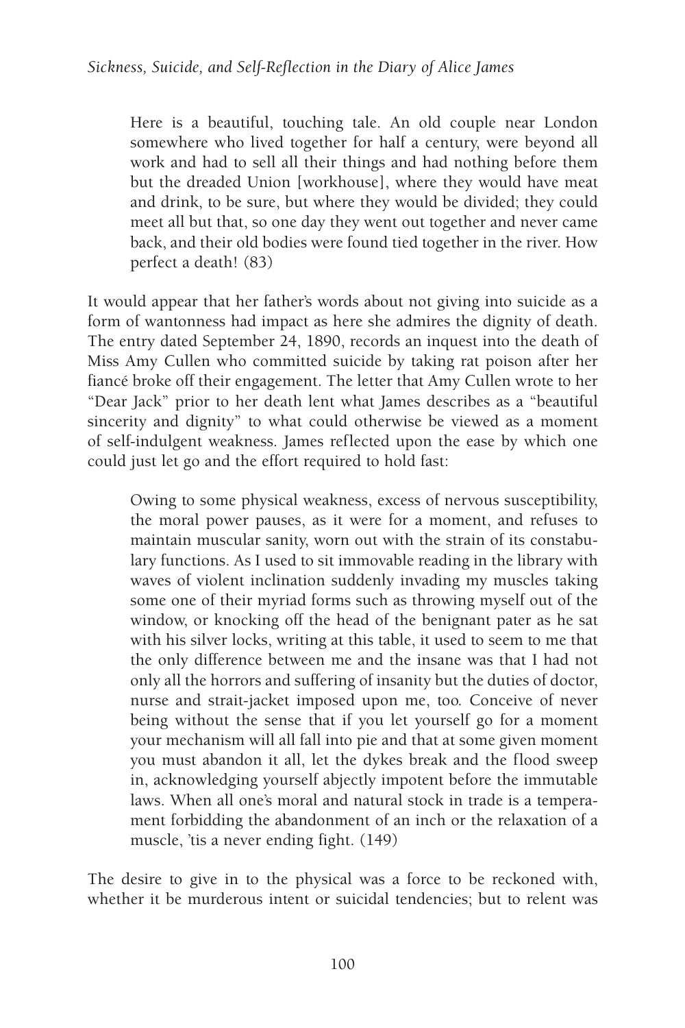Here is a beautiful, touching tale. An old couple near London somewhere who lived together for half a century, were beyond all work and had to sell all their things and had nothing before them but the dreaded Union [workhouse], where they would have meat and drink, to be sure, but where they would be divided; they could meet all but that, so one day they went out together and never came back, and their old bodies were found tied together in the river. How perfect a death! (83)

It would appear that her father's words about not giving into suicide as a form of wantonness had impact as here she admires the dignity of death. The entry dated September 24, 1890, records an inquest into the death of Miss Amy Cullen who committed suicide by taking rat poison after her fiancé broke off their engagement. The letter that Amy Cullen wrote to her "Dear Jack" prior to her death lent what James describes as a "beautiful sincerity and dignity" to what could otherwise be viewed as a moment of self-indulgent weakness. James reflected upon the ease by which one could just let go and the effort required to hold fast:

Owing to some physical weakness, excess of nervous susceptibility, the moral power pauses, as it were for a moment, and refuses to maintain muscular sanity, worn out with the strain of its constabulary functions. As I used to sit immovable reading in the library with waves of violent inclination suddenly invading my muscles taking some one of their myriad forms such as throwing myself out of the window, or knocking off the head of the benignant pater as he sat with his silver locks, writing at this table, it used to seem to me that the only difference between me and the insane was that I had not only all the horrors and suffering of insanity but the duties of doctor, nurse and strait-jacket imposed upon me, too. Conceive of never being without the sense that if you let yourself go for a moment your mechanism will all fall into pie and that at some given moment you must abandon it all, let the dykes break and the flood sweep in, acknowledging yourself abjectly impotent before the immutable laws. When all one's moral and natural stock in trade is a temperament forbidding the abandonment of an inch or the relaxation of a muscle, 'tis a never ending fight. (149)

The desire to give in to the physical was a force to be reckoned with, whether it be murderous intent or suicidal tendencies; but to relent was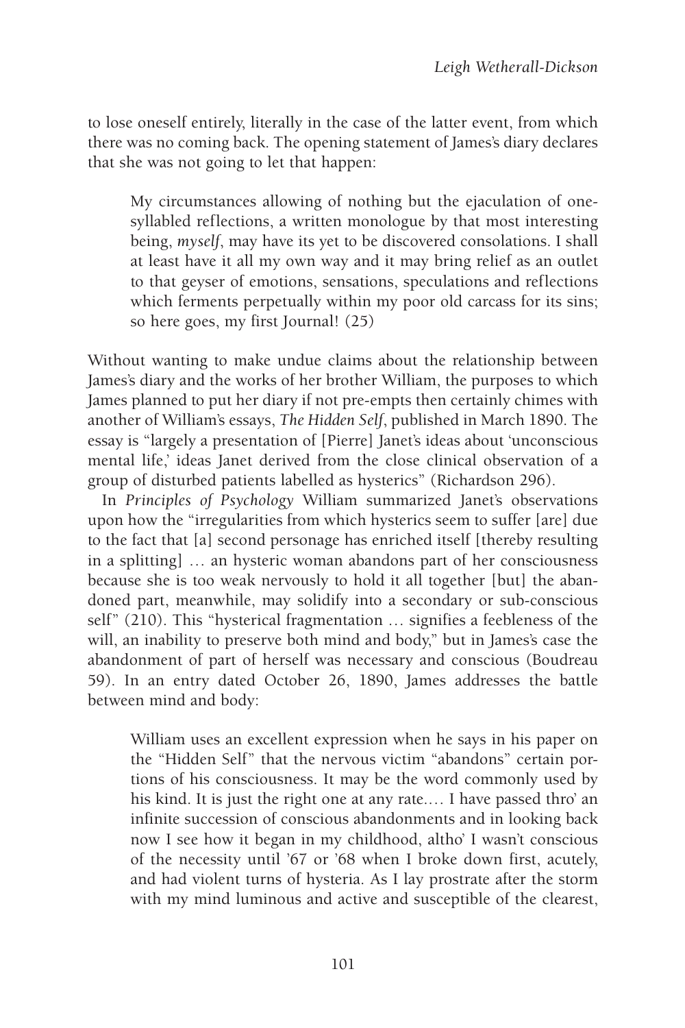to lose oneself entirely, literally in the case of the latter event, from which there was no coming back. The opening statement of James's diary declares that she was not going to let that happen:

My circumstances allowing of nothing but the ejaculation of onesyllabled reflections, a written monologue by that most interesting being, *myself*, may have its yet to be discovered consolations. I shall at least have it all my own way and it may bring relief as an outlet to that geyser of emotions, sensations, speculations and reflections which ferments perpetually within my poor old carcass for its sins; so here goes, my first Journal! (25)

Without wanting to make undue claims about the relationship between James's diary and the works of her brother William, the purposes to which James planned to put her diary if not pre-empts then certainly chimes with another of William's essays, *The Hidden Self*, published in March 1890. The essay is "largely a presentation of [Pierre] Janet's ideas about 'unconscious mental life,' ideas Janet derived from the close clinical observation of a group of disturbed patients labelled as hysterics" (Richardson 296).

In *Principles of Psychology* William summarized Janet's observations upon how the "irregularities from which hysterics seem to suffer [are] due to the fact that [a] second personage has enriched itself [thereby resulting in a splitting] … an hysteric woman abandons part of her consciousness because she is too weak nervously to hold it all together [but] the abandoned part, meanwhile, may solidify into a secondary or sub-conscious self" (210). This "hysterical fragmentation … signifies a feebleness of the will, an inability to preserve both mind and body," but in James's case the abandonment of part of herself was necessary and conscious (Boudreau 59). In an entry dated October 26, 1890, James addresses the battle between mind and body:

William uses an excellent expression when he says in his paper on the "Hidden Self" that the nervous victim "abandons" certain portions of his consciousness. It may be the word commonly used by his kind. It is just the right one at any rate.… I have passed thro' an infinite succession of conscious abandonments and in looking back now I see how it began in my childhood, altho' I wasn't conscious of the necessity until '67 or '68 when I broke down first, acutely, and had violent turns of hysteria. As I lay prostrate after the storm with my mind luminous and active and susceptible of the clearest,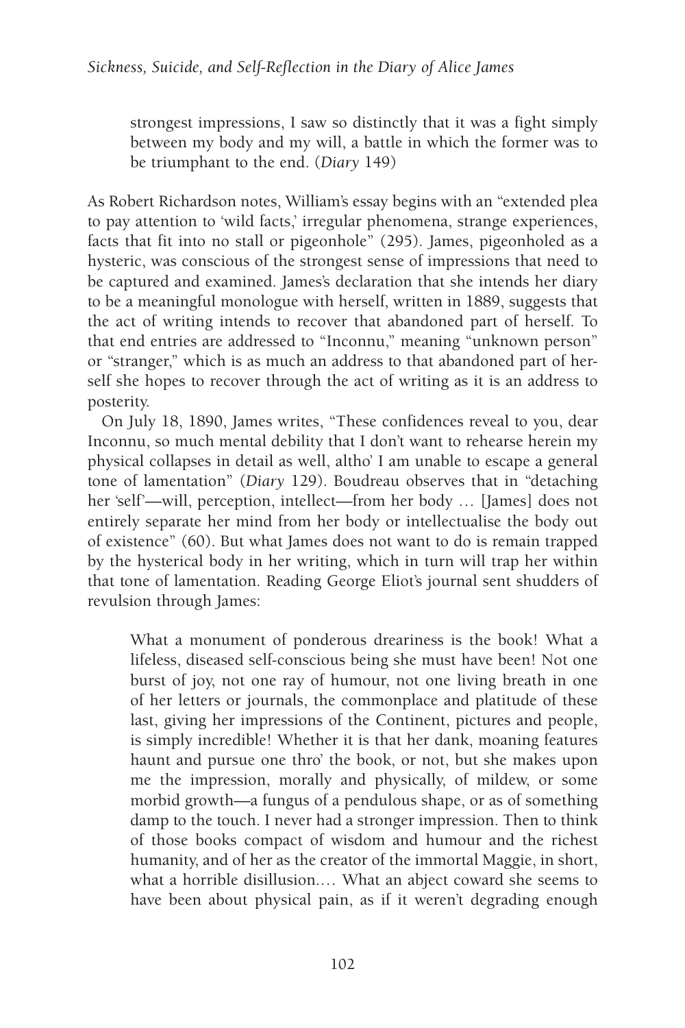strongest impressions, I saw so distinctly that it was a fight simply between my body and my will, a battle in which the former was to be triumphant to the end. (*Diary* 149)

As Robert Richardson notes, William's essay begins with an "extended plea to pay attention to 'wild facts,' irregular phenomena, strange experiences, facts that fit into no stall or pigeonhole" (295). James, pigeonholed as a hysteric, was conscious of the strongest sense of impressions that need to be captured and examined. James's declaration that she intends her diary to be a meaningful monologue with herself, written in 1889, suggests that the act of writing intends to recover that abandoned part of herself. To that end entries are addressed to "Inconnu," meaning "unknown person" or "stranger," which is as much an address to that abandoned part of herself she hopes to recover through the act of writing as it is an address to posterity.

On July 18, 1890, James writes, "These confidences reveal to you, dear Inconnu, so much mental debility that I don't want to rehearse herein my physical collapses in detail as well, altho' I am unable to escape a general tone of lamentation" (*Diary* 129). Boudreau observes that in "detaching her 'self'—will, perception, intellect—from her body … [James] does not entirely separate her mind from her body or intellectualise the body out of existence" (60). But what James does not want to do is remain trapped by the hysterical body in her writing, which in turn will trap her within that tone of lamentation. Reading George Eliot's journal sent shudders of revulsion through James:

What a monument of ponderous dreariness is the book! What a lifeless, diseased self-conscious being she must have been! Not one burst of joy, not one ray of humour, not one living breath in one of her letters or journals, the commonplace and platitude of these last, giving her impressions of the Continent, pictures and people, is simply incredible! Whether it is that her dank, moaning features haunt and pursue one thro' the book, or not, but she makes upon me the impression, morally and physically, of mildew, or some morbid growth—a fungus of a pendulous shape, or as of something damp to the touch. I never had a stronger impression. Then to think of those books compact of wisdom and humour and the richest humanity, and of her as the creator of the immortal Maggie, in short, what a horrible disillusion.… What an abject coward she seems to have been about physical pain, as if it weren't degrading enough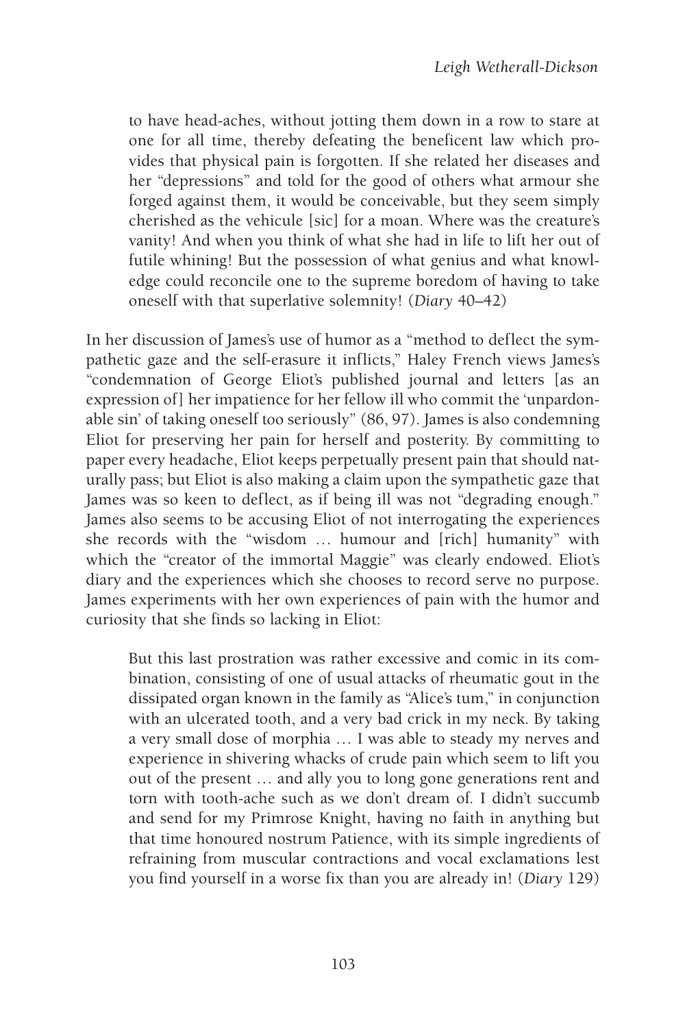to have head-aches, without jotting them down in a row to stare at one for all time, thereby defeating the beneficent law which provides that physical pain is forgotten. If she related her diseases and her "depressions" and told for the good of others what armour she forged against them, it would be conceivable, but they seem simply cherished as the vehicule [sic] for a moan. Where was the creature's vanity! And when you think of what she had in life to lift her out of futile whining! But the possession of what genius and what knowledge could reconcile one to the supreme boredom of having to take oneself with that superlative solemnity! (*Diary* 40–42)

In her discussion of James's use of humor as a "method to deflect the sympathetic gaze and the self-erasure it inflicts," Haley French views James's "condemnation of George Eliot's published journal and letters [as an expression of] her impatience for her fellow ill who commit the 'unpardonable sin' of taking oneself too seriously" (86, 97). James is also condemning Eliot for preserving her pain for herself and posterity. By committing to paper every headache, Eliot keeps perpetually present pain that should naturally pass; but Eliot is also making a claim upon the sympathetic gaze that James was so keen to deflect, as if being ill was not "degrading enough." James also seems to be accusing Eliot of not interrogating the experiences she records with the "wisdom … humour and [rich] humanity" with which the "creator of the immortal Maggie" was clearly endowed. Eliot's diary and the experiences which she chooses to record serve no purpose. James experiments with her own experiences of pain with the humor and curiosity that she finds so lacking in Eliot:

But this last prostration was rather excessive and comic in its combination, consisting of one of usual attacks of rheumatic gout in the dissipated organ known in the family as "Alice's tum," in conjunction with an ulcerated tooth, and a very bad crick in my neck. By taking a very small dose of morphia … I was able to steady my nerves and experience in shivering whacks of crude pain which seem to lift you out of the present … and ally you to long gone generations rent and torn with tooth-ache such as we don't dream of. I didn't succumb and send for my Primrose Knight, having no faith in anything but that time honoured nostrum Patience, with its simple ingredients of refraining from muscular contractions and vocal exclamations lest you find yourself in a worse fix than you are already in! (*Diary* 129)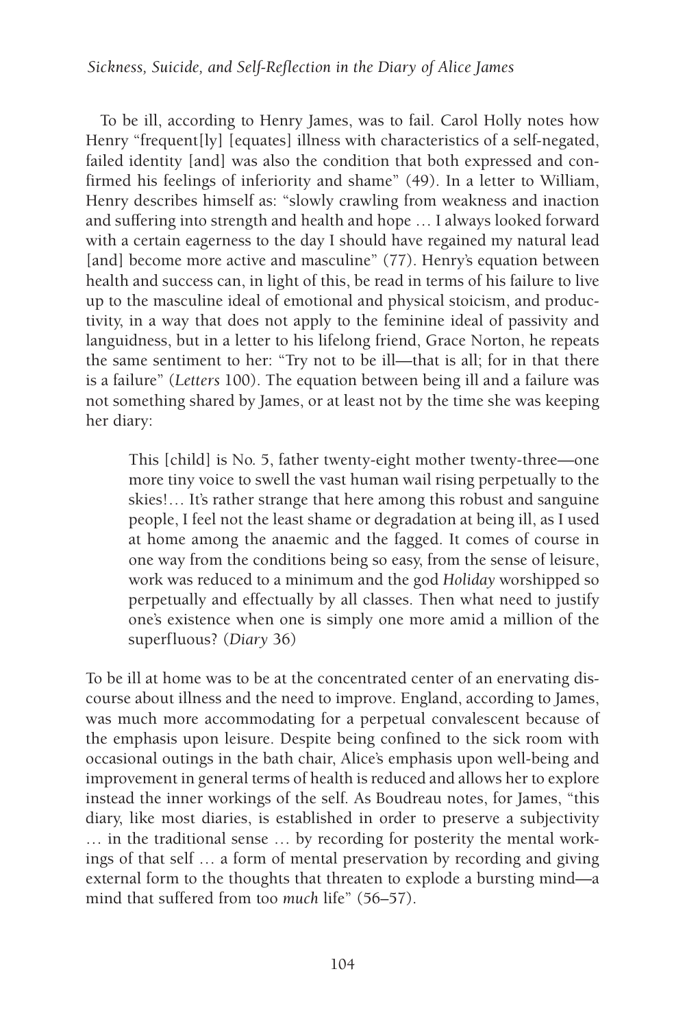To be ill, according to Henry James, was to fail. Carol Holly notes how Henry "frequent[ly] [equates] illness with characteristics of a self-negated, failed identity [and] was also the condition that both expressed and confirmed his feelings of inferiority and shame" (49). In a letter to William, Henry describes himself as: "slowly crawling from weakness and inaction and sufering into strength and health and hope … I always looked forward with a certain eagerness to the day I should have regained my natural lead [and] become more active and masculine" (77). Henry's equation between health and success can, in light of this, be read in terms of his failure to live up to the masculine ideal of emotional and physical stoicism, and productivity, in a way that does not apply to the feminine ideal of passivity and languidness, but in a letter to his lifelong friend, Grace Norton, he repeats the same sentiment to her: "Try not to be ill—that is all; for in that there is a failure" (*Letters* 100). The equation between being ill and a failure was not something shared by James, or at least not by the time she was keeping her diary:

This [child] is No. 5, father twenty-eight mother twenty-three—one more tiny voice to swell the vast human wail rising perpetually to the skies!… It's rather strange that here among this robust and sanguine people, I feel not the least shame or degradation at being ill, as I used at home among the anaemic and the fagged. It comes of course in one way from the conditions being so easy, from the sense of leisure, work was reduced to a minimum and the god *Holiday* worshipped so perpetually and effectually by all classes. Then what need to justify one's existence when one is simply one more amid a million of the superfluous? (*Diary* 36)

To be ill at home was to be at the concentrated center of an enervating discourse about illness and the need to improve. England, according to James, was much more accommodating for a perpetual convalescent because of the emphasis upon leisure. Despite being confined to the sick room with occasional outings in the bath chair, Alice's emphasis upon well-being and improvement in general terms of health is reduced and allows her to explore instead the inner workings of the self. As Boudreau notes, for James, "this diary, like most diaries, is established in order to preserve a subjectivity … in the traditional sense … by recording for posterity the mental workings of that self … a form of mental preservation by recording and giving external form to the thoughts that threaten to explode a bursting mind—a mind that suffered from too *much* life" (56–57).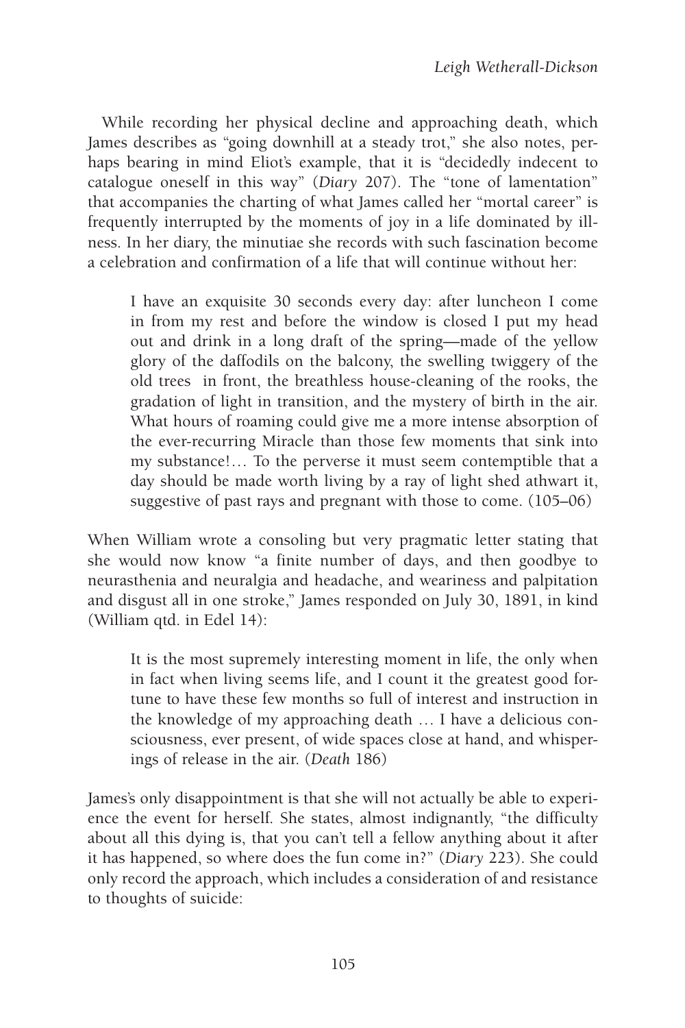While recording her physical decline and approaching death, which James describes as "going downhill at a steady trot," she also notes, perhaps bearing in mind Eliot's example, that it is "decidedly indecent to catalogue oneself in this way" (*Diary* 207). The "tone of lamentation" that accompanies the charting of what James called her "mortal career" is frequently interrupted by the moments of joy in a life dominated by illness. In her diary, the minutiae she records with such fascination become a celebration and confirmation of a life that will continue without her:

I have an exquisite 30 seconds every day: after luncheon I come in from my rest and before the window is closed I put my head out and drink in a long draft of the spring—made of the yellow glory of the daffodils on the balcony, the swelling twiggery of the old trees in front, the breathless house-cleaning of the rooks, the gradation of light in transition, and the mystery of birth in the air. What hours of roaming could give me a more intense absorption of the ever-recurring Miracle than those few moments that sink into my substance!… To the perverse it must seem contemptible that a day should be made worth living by a ray of light shed athwart it, suggestive of past rays and pregnant with those to come. (105–06)

When William wrote a consoling but very pragmatic letter stating that she would now know "a finite number of days, and then goodbye to neurasthenia and neuralgia and headache, and weariness and palpitation and disgust all in one stroke," James responded on July 30, 1891, in kind (William qtd. in Edel 14):

It is the most supremely interesting moment in life, the only when in fact when living seems life, and I count it the greatest good fortune to have these few months so full of interest and instruction in the knowledge of my approaching death … I have a delicious consciousness, ever present, of wide spaces close at hand, and whisperings of release in the air. (*Death* 186)

James's only disappointment is that she will not actually be able to experience the event for herself. She states, almost indignantly, "the difficulty about all this dying is, that you can't tell a fellow anything about it after it has happened, so where does the fun come in?" (*Diary* 223). She could only record the approach, which includes a consideration of and resistance to thoughts of suicide: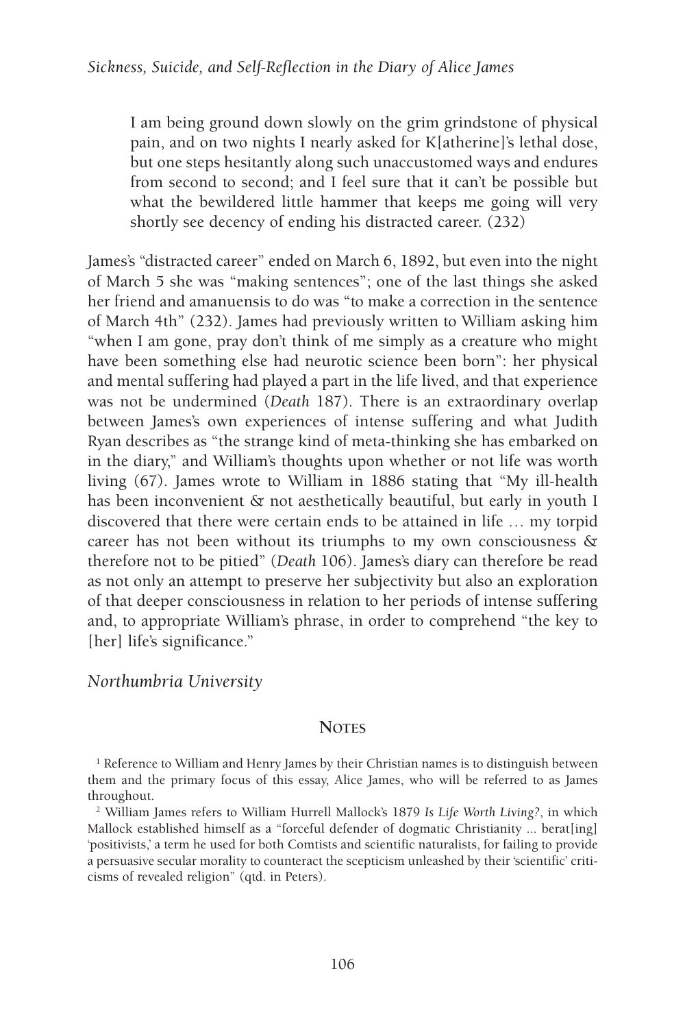I am being ground down slowly on the grim grindstone of physical pain, and on two nights I nearly asked for K[atherine]'s lethal dose, but one steps hesitantly along such unaccustomed ways and endures from second to second; and I feel sure that it can't be possible but what the bewildered little hammer that keeps me going will very shortly see decency of ending his distracted career. (232)

James's "distracted career" ended on March 6, 1892, but even into the night of March 5 she was "making sentences"; one of the last things she asked her friend and amanuensis to do was "to make a correction in the sentence of March 4th" (232). James had previously written to William asking him "when I am gone, pray don't think of me simply as a creature who might have been something else had neurotic science been born": her physical and mental suffering had played a part in the life lived, and that experience was not be undermined (*Death* 187). There is an extraordinary overlap between James's own experiences of intense suffering and what Judith Ryan describes as "the strange kind of meta-thinking she has embarked on in the diary," and William's thoughts upon whether or not life was worth living (67). James wrote to William in 1886 stating that "My ill-health has been inconvenient & not aesthetically beautiful, but early in youth I discovered that there were certain ends to be attained in life … my torpid career has not been without its triumphs to my own consciousness & therefore not to be pitied" (*Death* 106). James's diary can therefore be read as not only an attempt to preserve her subjectivity but also an exploration of that deeper consciousness in relation to her periods of intense suffering and, to appropriate William's phrase, in order to comprehend "the key to [her] life's significance."

### *Northumbria University*

#### **NOTES**

<sup>1</sup> Reference to William and Henry James by their Christian names is to distinguish between them and the primary focus of this essay, Alice James, who will be referred to as James throughout.

2 William James refers to William Hurrell Mallock's 1879 *Is Life Worth Living?*, in which Mallock established himself as a "forceful defender of dogmatic Christianity ... berat[ing] 'positivists,' a term he used for both Comtists and scientific naturalists, for failing to provide a persuasive secular morality to counteract the scepticism unleashed by their 'scientific' criticisms of revealed religion" (qtd. in Peters).